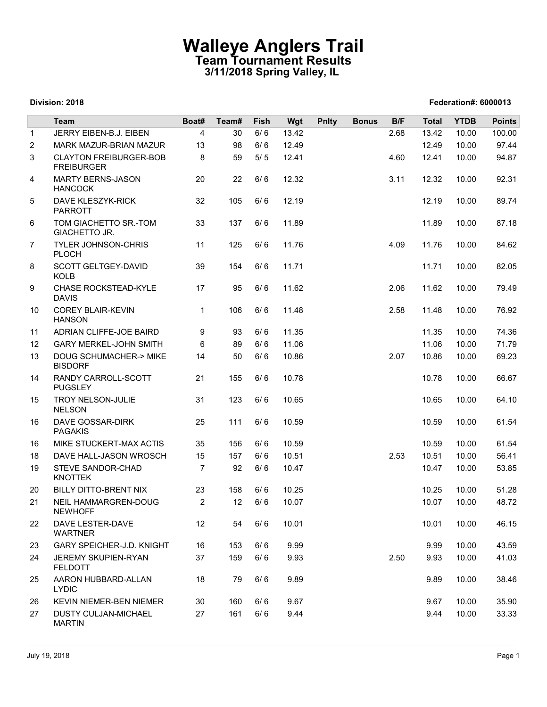## Walleye Anglers Trail Team Tournament Results 3/11/2018 Spring Valley, IL

|                |                                                                 |                | 3/11/2018 Spring Valley, IL |              |                | <b>Walleye Anglers Trail</b><br><b>Team Tournament Results</b> |              |      |                             |                |                |  |
|----------------|-----------------------------------------------------------------|----------------|-----------------------------|--------------|----------------|----------------------------------------------------------------|--------------|------|-----------------------------|----------------|----------------|--|
|                | Division: 2018                                                  |                |                             |              |                |                                                                |              |      | <b>Federation#: 6000013</b> |                |                |  |
|                | Team                                                            | Boat#          | Team#                       | Fish         | Wgt            | <b>Pnlty</b>                                                   | <b>Bonus</b> | B/F  | <b>Total</b>                | <b>YTDB</b>    | <b>Points</b>  |  |
| $\mathbf{1}$   | JERRY EIBEN-B.J. EIBEN                                          | 4              | 30                          | 6/6          | 13.42          |                                                                |              | 2.68 | 13.42                       | 10.00          | 100.00         |  |
| 2<br>3         | MARK MAZUR-BRIAN MAZUR<br><b>CLAYTON FREIBURGER-BOB</b>         | 13<br>8        | 98<br>59                    | 6/6<br>$5/5$ | 12.49<br>12.41 |                                                                |              | 4.60 | 12.49<br>12.41              | 10.00<br>10.00 | 97.44<br>94.87 |  |
| 4              | <b>FREIBURGER</b><br><b>MARTY BERNS-JASON</b><br><b>HANCOCK</b> | 20             | 22                          | 6/6          | 12.32          |                                                                |              | 3.11 | 12.32                       | 10.00          | 92.31          |  |
| 5              | DAVE KLESZYK-RICK<br><b>PARROTT</b>                             | 32             | 105                         | 6/6          | 12.19          |                                                                |              |      | 12.19                       | 10.00          | 89.74          |  |
| 6              | TOM GIACHETTO SR.-TOM<br>GIACHETTO JR.                          | 33             | 137                         | 6/6          | 11.89          |                                                                |              |      | 11.89                       | 10.00          | 87.18          |  |
| $\overline{7}$ | <b>TYLER JOHNSON-CHRIS</b><br><b>PLOCH</b>                      | 11             | 125                         | 6/6          | 11.76          |                                                                |              | 4.09 | 11.76                       | 10.00          | 84.62          |  |
| 8              | SCOTT GELTGEY-DAVID<br><b>KOLB</b>                              | 39             | 154                         | 6/6          | 11.71          |                                                                |              |      | 11.71                       | 10.00          | 82.05          |  |
| 9              | CHASE ROCKSTEAD-KYLE<br><b>DAVIS</b>                            | 17             | 95                          | 6/6          | 11.62          |                                                                |              | 2.06 | 11.62                       | 10.00          | 79.49          |  |
| 10             | <b>COREY BLAIR-KEVIN</b><br><b>HANSON</b>                       | $\mathbf{1}$   | 106                         | 6/6          | 11.48          |                                                                |              | 2.58 | 11.48                       | 10.00          | 76.92          |  |
| 11             | ADRIAN CLIFFE-JOE BAIRD                                         | 9              | 93                          | 6/6          | 11.35          |                                                                |              |      | 11.35                       | 10.00          | 74.36          |  |
| 12             | <b>GARY MERKEL-JOHN SMITH</b>                                   | 6              | 89                          | 6/6          | 11.06          |                                                                |              |      | 11.06                       | 10.00          | 71.79          |  |
| 13             | DOUG SCHUMACHER-> MIKE<br><b>BISDORF</b>                        | 14             | 50                          | 6/6          | 10.86          |                                                                |              | 2.07 | 10.86                       | 10.00          | 69.23          |  |
| 14             | RANDY CARROLL-SCOTT<br><b>PUGSLEY</b>                           | 21             | 155                         | 6/6          | 10.78          |                                                                |              |      | 10.78                       | 10.00          | 66.67          |  |
| 15             | TROY NELSON-JULIE<br><b>NELSON</b>                              | 31             | 123                         | 6/6          | 10.65          |                                                                |              |      | 10.65                       | 10.00          | 64.10          |  |
| 16             | DAVE GOSSAR-DIRK<br><b>PAGAKIS</b>                              | 25             | 111                         | 6/6          | 10.59          |                                                                |              |      | 10.59                       | 10.00          | 61.54          |  |
| 16             | MIKE STUCKERT-MAX ACTIS                                         | 35             | 156                         | 6/6          | 10.59          |                                                                |              |      | 10.59                       | 10.00          | 61.54          |  |
| 18             | DAVE HALL-JASON WROSCH                                          | 15             | 157                         | 6/6          | 10.51          |                                                                |              | 2.53 | 10.51                       | 10.00          | 56.41          |  |
| 19             | STEVE SANDOR-CHAD<br><b>KNOTTEK</b>                             | $\overline{7}$ | 92                          | 6/6          | 10.47          |                                                                |              |      | 10.47                       | 10.00          | 53.85          |  |
| 20             | BILLY DITTO-BRENT NIX                                           | 23             | 158                         | 6/6          | 10.25          |                                                                |              |      | 10.25                       | 10.00          | 51.28          |  |
| 21             | NEIL HAMMARGREN-DOUG<br><b>NEWHOFF</b>                          | $\overline{2}$ | 12                          | 6/6          | 10.07          |                                                                |              |      | 10.07                       | 10.00          | 48.72          |  |
| 22             | DAVE LESTER-DAVE<br><b>WARTNER</b>                              | 12             | 54                          | 6/6          | 10.01          |                                                                |              |      | 10.01                       | 10.00          | 46.15          |  |
| 23             | GARY SPEICHER-J.D. KNIGHT                                       | 16             | 153                         | 6/6          | 9.99           |                                                                |              |      | 9.99                        | 10.00          | 43.59          |  |
| 24             | JEREMY SKUPIEN-RYAN<br><b>FELDOTT</b>                           | 37             | 159                         | 6/6          | 9.93           |                                                                |              | 2.50 | 9.93                        | 10.00          | 41.03          |  |
| 25             | AARON HUBBARD-ALLAN<br><b>LYDIC</b>                             | 18             | 79                          | 6/6          | 9.89           |                                                                |              |      | 9.89                        | 10.00          | 38.46          |  |
| 26             | <b>KEVIN NIEMER-BEN NIEMER</b>                                  | 30             | 160                         | 6/6          | 9.67           |                                                                |              |      | 9.67                        | 10.00          | 35.90          |  |
| 27             | <b>DUSTY CULJAN-MICHAEL</b><br><b>MARTIN</b>                    | 27             | 161                         | 6/6          | 9.44           |                                                                |              |      | 9.44                        | 10.00          | 33.33          |  |

### Division: 2018 Federation#: 6000013